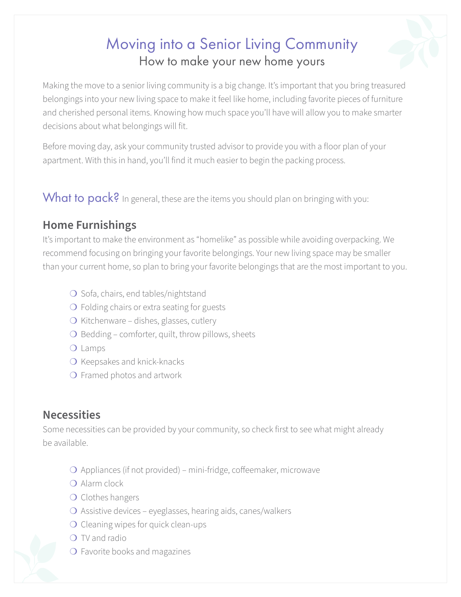# Moving into a Senior Living Community How to make your new home yours

Making the move to a senior living community is a big change. It's important that you bring treasured belongings into your new living space to make it feel like home, including favorite pieces of furniture and cherished personal items. Knowing how much space you'll have will allow you to make smarter decisions about what belongings will fit.

Before moving day, ask your community trusted advisor to provide you with a floor plan of your apartment. With this in hand, you'll find it much easier to begin the packing process.

What to pack? In general, these are the items you should plan on bringing with you:

#### **Home Furnishings**

It's important to make the environment as "homelike" as possible while avoiding overpacking. We recommend focusing on bringing your favorite belongings. Your new living space may be smaller than your current home, so plan to bring your favorite belongings that are the most important to you.

- O Sofa, chairs, end tables/nightstand
- ❍ Folding chairs or extra seating for guests
- ❍ Kitchenware dishes, glasses, cutlery
- $\bigcirc$  Bedding comforter, quilt, throw pillows, sheets
- ❍ Lamps
- O Keepsakes and knick-knacks
- O Framed photos and artwork

#### **Necessities**

Some necessities can be provided by your community, so check first to see what might already be available.

- ❍ Appliances (if not provided) mini-fridge, coffeemaker, microwave
- ❍ Alarm clock
- ❍ Clothes hangers
- ❍ Assistive devices eyeglasses, hearing aids, canes/walkers
- O Cleaning wipes for quick clean-ups
- ❍ TV and radio
- O Favorite books and magazines